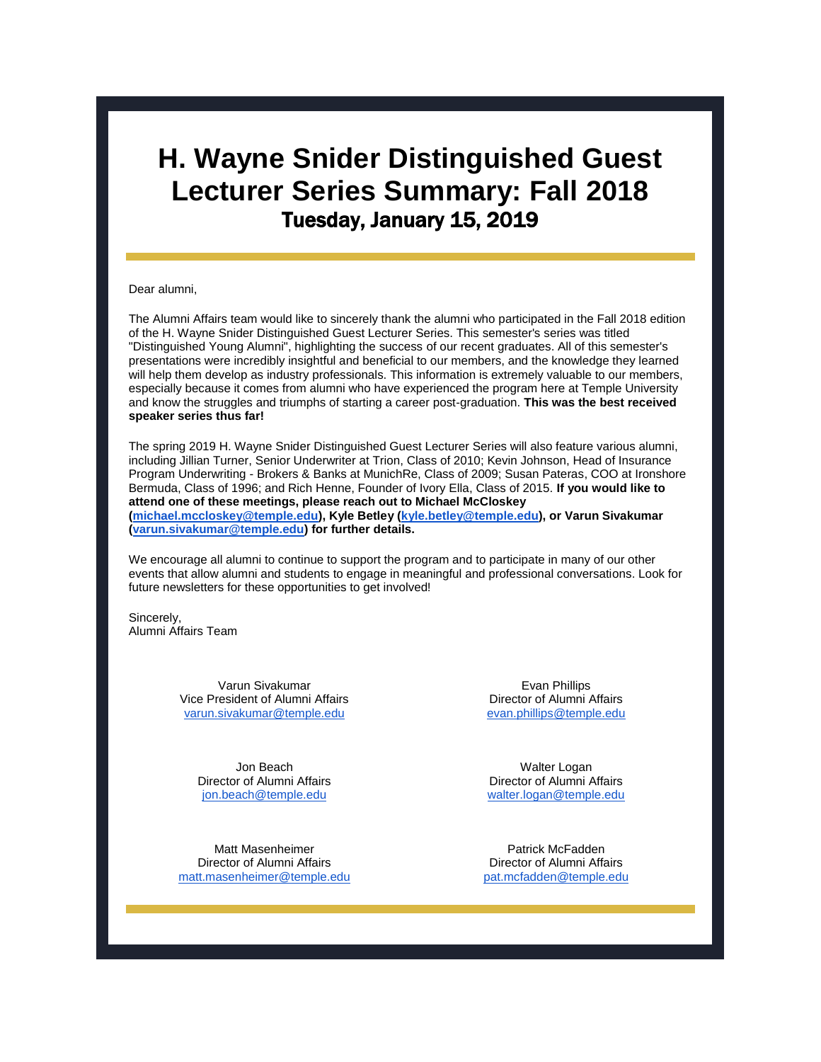# **H. Wayne Snider Distinguished Guest Lecturer Series Summary: Fall 2018** Tuesday, January 15, 2019

#### Dear alumni,

The Alumni Affairs team would like to sincerely thank the alumni who participated in the Fall 2018 edition of the H. Wayne Snider Distinguished Guest Lecturer Series. This semester's series was titled "Distinguished Young Alumni", highlighting the success of our recent graduates. All of this semester's presentations were incredibly insightful and beneficial to our members, and the knowledge they learned will help them develop as industry professionals. This information is extremely valuable to our members, especially because it comes from alumni who have experienced the program here at Temple University and know the struggles and triumphs of starting a career post-graduation. **This was the best received speaker series thus far!**

The spring 2019 H. Wayne Snider Distinguished Guest Lecturer Series will also feature various alumni, including Jillian Turner, Senior Underwriter at Trion, Class of 2010; Kevin Johnson, Head of Insurance Program Underwriting - Brokers & Banks at MunichRe, Class of 2009; Susan Pateras, COO at Ironshore Bermuda, Class of 1996; and Rich Henne, Founder of Ivory Ella, Class of 2015. **If you would like to attend one of these meetings, please reach out to Michael McCloskey [\(michael.mccloskey@temple.edu\)](mailto:michael.mccloskey@temple.edu), Kyle Betley [\(kyle.betley@temple.edu\)](mailto:kyle.betley@temple.edu), or Varun Sivakumar [\(varun.sivakumar@temple.edu\)](mailto:varun.sivakumar@temple.edu) for further details.**

We encourage all alumni to continue to support the program and to participate in many of our other events that allow alumni and students to engage in meaningful and professional conversations. Look for future newsletters for these opportunities to get involved!

Sincerely, Alumni Affairs Team

> Varun Sivakumar Vice President of Alumni Affairs [varun.sivakumar@temple.edu](mailto:varun.sivakumar@temple.edu)

> > Jon Beach Director of Alumni Affairs [jon.beach@temple.edu](mailto:jon.beach@temple.edu)

Matt Masenheimer Director of Alumni Affairs [matt.masenheimer@temple.edu](mailto:matt.masenheimer@temple.edu)

Evan Phillips Director of Alumni Affairs [evan.phillips@temple.edu](mailto:evan.phillips@temple.edu)

Walter Logan Director of Alumni Affairs [walter.logan@temple.edu](mailto:walter.logan@temple.edu)

Patrick McFadden Director of Alumni Affairs [pat.mcfadden@temple.edu](mailto:pat.mcfadden@temple.edu)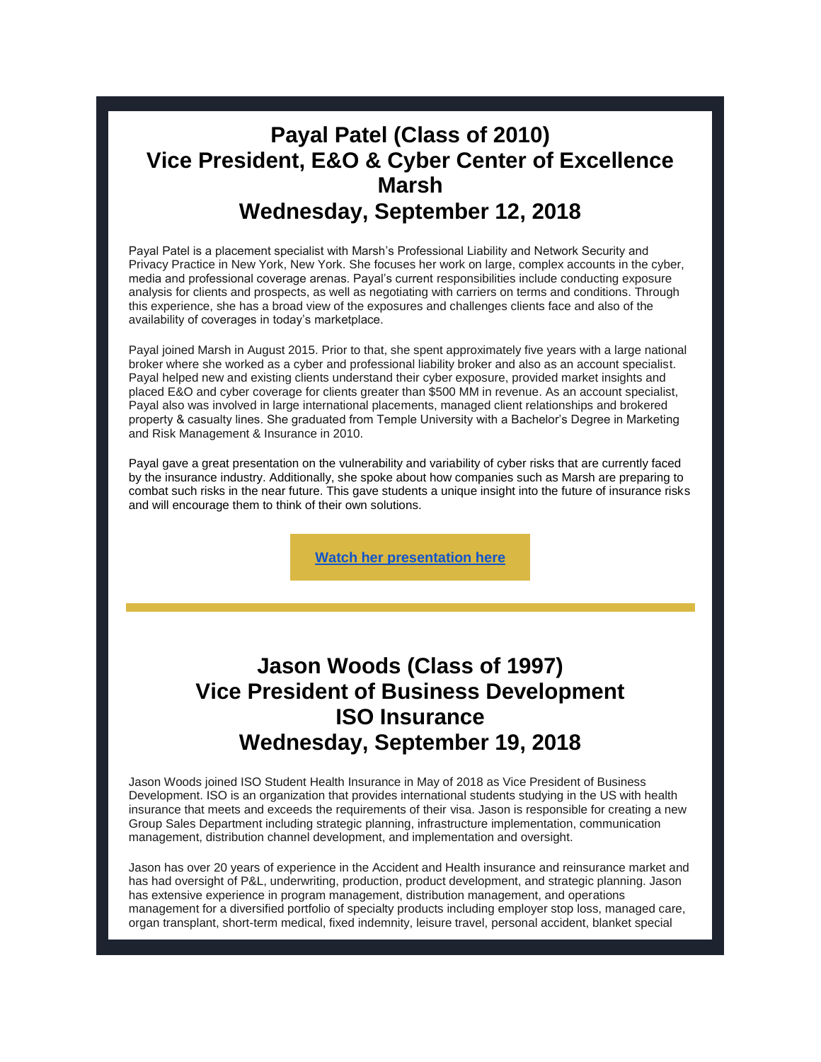# **Payal Patel (Class of 2010) Vice President, E&O & Cyber Center of Excellence Marsh Wednesday, September 12, 2018**

Payal Patel is a placement specialist with Marsh's Professional Liability and Network Security and Privacy Practice in New York, New York. She focuses her work on large, complex accounts in the cyber, media and professional coverage arenas. Payal's current responsibilities include conducting exposure analysis for clients and prospects, as well as negotiating with carriers on terms and conditions. Through this experience, she has a broad view of the exposures and challenges clients face and also of the availability of coverages in today's marketplace.

Payal joined Marsh in August 2015. Prior to that, she spent approximately five years with a large national broker where she worked as a cyber and professional liability broker and also as an account specialist. Payal helped new and existing clients understand their cyber exposure, provided market insights and placed E&O and cyber coverage for clients greater than \$500 MM in revenue. As an account specialist, Payal also was involved in large international placements, managed client relationships and brokered property & casualty lines. She graduated from Temple University with a Bachelor's Degree in Marketing and Risk Management & Insurance in 2010.

Payal gave a great presentation on the vulnerability and variability of cyber risks that are currently faced by the insurance industry. Additionally, she spoke about how companies such as Marsh are preparing to combat such risks in the near future. This gave students a unique insight into the future of insurance risks and will encourage them to think of their own solutions.

**[Watch her presentation here](https://vimeo.com/289561958)**

# **Jason Woods (Class of 1997) Vice President of Business Development ISO Insurance Wednesday, September 19, 2018**

Jason Woods joined ISO Student Health Insurance in May of 2018 as Vice President of Business Development. ISO is an organization that provides international students studying in the US with health insurance that meets and exceeds the requirements of their visa. Jason is responsible for creating a new Group Sales Department including strategic planning, infrastructure implementation, communication management, distribution channel development, and implementation and oversight.

Jason has over 20 years of experience in the Accident and Health insurance and reinsurance market and has had oversight of P&L, underwriting, production, product development, and strategic planning. Jason has extensive experience in program management, distribution management, and operations management for a diversified portfolio of specialty products including employer stop loss, managed care, organ transplant, short-term medical, fixed indemnity, leisure travel, personal accident, blanket special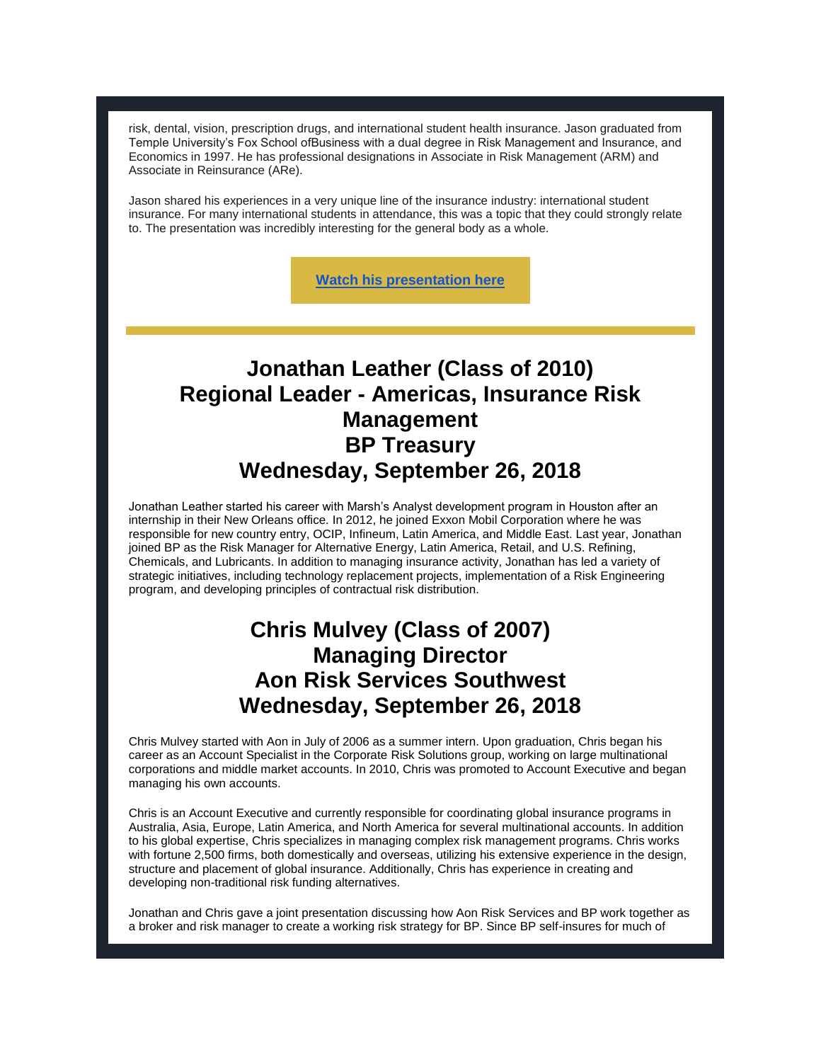risk, dental, vision, prescription drugs, and international student health insurance. Jason graduated from Temple University's Fox School ofBusiness with a dual degree in Risk Management and Insurance, and Economics in 1997. He has professional designations in Associate in Risk Management (ARM) and Associate in Reinsurance (ARe).

Jason shared his experiences in a very unique line of the insurance industry: international student insurance. For many international students in attendance, this was a topic that they could strongly relate to. The presentation was incredibly interesting for the general body as a whole.

**[Watch his presentation here](https://vimeo.com/290781881)**

# **Jonathan Leather (Class of 2010) Regional Leader - Americas, Insurance Risk Management BP Treasury Wednesday, September 26, 2018**

Jonathan Leather started his career with Marsh's Analyst development program in Houston after an internship in their New Orleans office. In 2012, he joined Exxon Mobil Corporation where he was responsible for new country entry, OCIP, Infineum, Latin America, and Middle East. Last year, Jonathan joined BP as the Risk Manager for Alternative Energy, Latin America, Retail, and U.S. Refining, Chemicals, and Lubricants. In addition to managing insurance activity, Jonathan has led a variety of strategic initiatives, including technology replacement projects, implementation of a Risk Engineering program, and developing principles of contractual risk distribution.

#### **Chris Mulvey (Class of 2007) Managing Director Aon Risk Services Southwest Wednesday, September 26, 2018**

Chris Mulvey started with Aon in July of 2006 as a summer intern. Upon graduation, Chris began his career as an Account Specialist in the Corporate Risk Solutions group, working on large multinational corporations and middle market accounts. In 2010, Chris was promoted to Account Executive and began managing his own accounts.

Chris is an Account Executive and currently responsible for coordinating global insurance programs in Australia, Asia, Europe, Latin America, and North America for several multinational accounts. In addition to his global expertise, Chris specializes in managing complex risk management programs. Chris works with fortune 2,500 firms, both domestically and overseas, utilizing his extensive experience in the design, structure and placement of global insurance. Additionally, Chris has experience in creating and developing non-traditional risk funding alternatives.

Jonathan and Chris gave a joint presentation discussing how Aon Risk Services and BP work together as a broker and risk manager to create a working risk strategy for BP. Since BP self-insures for much of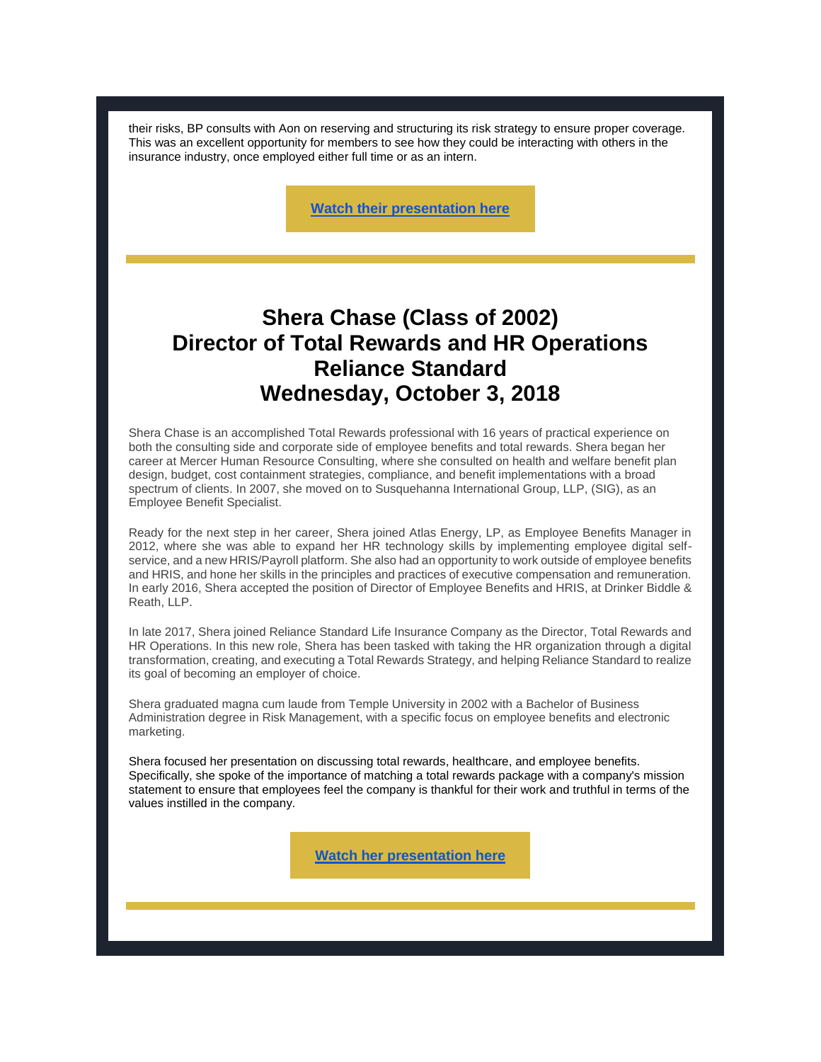their risks, BP consults with Aon on reserving and structuring its risk strategy to ensure proper coverage. This was an excellent opportunity for members to see how they could be interacting with others in the insurance industry, once employed either full time or as an intern.

**[Watch their presentation here](https://vimeo.com/292023066)**

## **Shera Chase (Class of 2002) Director of Total Rewards and HR Operations Reliance Standard Wednesday, October 3, 2018**

Shera Chase is an accomplished Total Rewards professional with 16 years of practical experience on both the consulting side and corporate side of employee benefits and total rewards. Shera began her career at Mercer Human Resource Consulting, where she consulted on health and welfare benefit plan design, budget, cost containment strategies, compliance, and benefit implementations with a broad spectrum of clients. In 2007, she moved on to Susquehanna International Group, LLP, (SIG), as an Employee Benefit Specialist.

Ready for the next step in her career, Shera joined Atlas Energy, LP, as Employee Benefits Manager in 2012, where she was able to expand her HR technology skills by implementing employee digital selfservice, and a new HRIS/Payroll platform. She also had an opportunity to work outside of employee benefits and HRIS, and hone her skills in the principles and practices of executive compensation and remuneration. In early 2016, Shera accepted the position of Director of Employee Benefits and HRIS, at Drinker Biddle & Reath, LLP.

In late 2017, Shera joined Reliance Standard Life Insurance Company as the Director, Total Rewards and HR Operations. In this new role, Shera has been tasked with taking the HR organization through a digital transformation, creating, and executing a Total Rewards Strategy, and helping Reliance Standard to realize its goal of becoming an employer of choice.

Shera graduated magna cum laude from Temple University in 2002 with a Bachelor of Business Administration degree in Risk Management, with a specific focus on employee benefits and electronic marketing.

Shera focused her presentation on discussing total rewards, healthcare, and employee benefits. Specifically, she spoke of the importance of matching a total rewards package with a company's mission statement to ensure that employees feel the company is thankful for their work and truthful in terms of the values instilled in the company.

**[Watch her presentation here](https://vimeo.com/293215157)**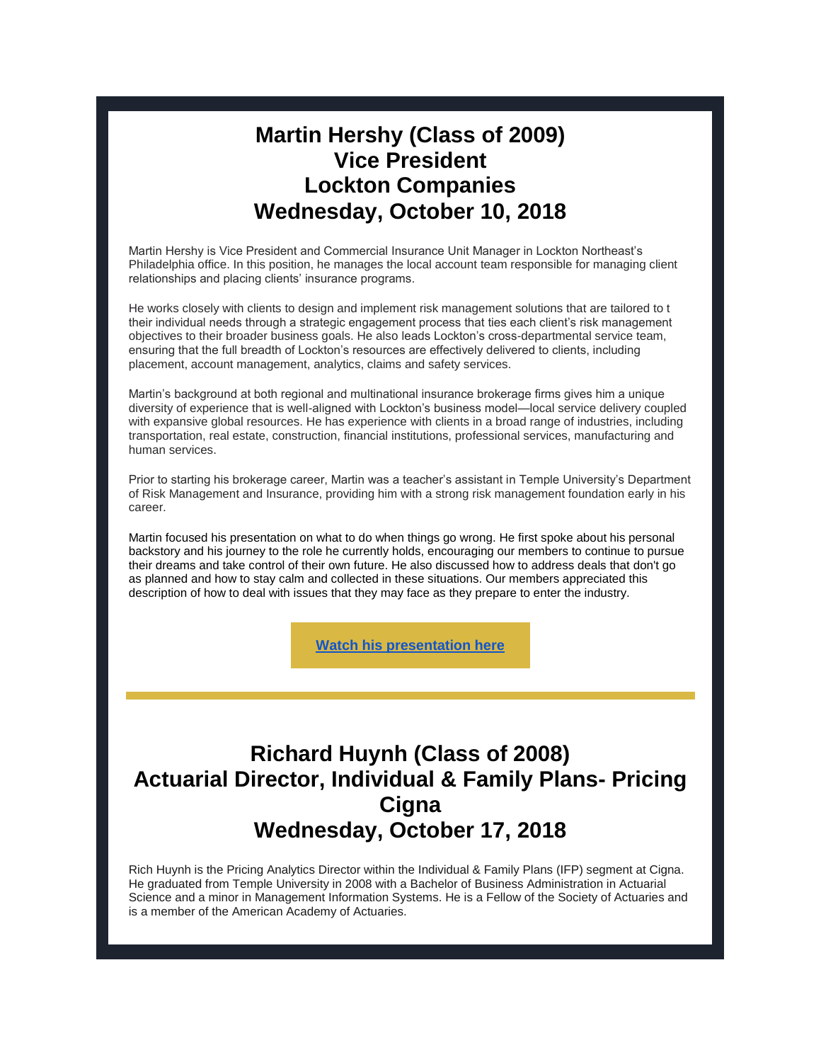#### **Martin Hershy (Class of 2009) Vice President Lockton Companies Wednesday, October 10, 2018**

Martin Hershy is Vice President and Commercial Insurance Unit Manager in Lockton Northeast's Philadelphia office. In this position, he manages the local account team responsible for managing client relationships and placing clients' insurance programs.

He works closely with clients to design and implement risk management solutions that are tailored to t their individual needs through a strategic engagement process that ties each client's risk management objectives to their broader business goals. He also leads Lockton's cross-departmental service team, ensuring that the full breadth of Lockton's resources are effectively delivered to clients, including placement, account management, analytics, claims and safety services.

Martin's background at both regional and multinational insurance brokerage firms gives him a unique diversity of experience that is well-aligned with Lockton's business model—local service delivery coupled with expansive global resources. He has experience with clients in a broad range of industries, including transportation, real estate, construction, financial institutions, professional services, manufacturing and human services.

Prior to starting his brokerage career, Martin was a teacher's assistant in Temple University's Department of Risk Management and Insurance, providing him with a strong risk management foundation early in his career.

Martin focused his presentation on what to do when things go wrong. He first spoke about his personal backstory and his journey to the role he currently holds, encouraging our members to continue to pursue their dreams and take control of their own future. He also discussed how to address deals that don't go as planned and how to stay calm and collected in these situations. Our members appreciated this description of how to deal with issues that they may face as they prepare to enter the industry.

**[Watch his presentation here](https://vimeo.com/294457041)**

# **Richard Huynh (Class of 2008) Actuarial Director, Individual & Family Plans- Pricing Cigna Wednesday, October 17, 2018**

Rich Huynh is the Pricing Analytics Director within the Individual & Family Plans (IFP) segment at Cigna. He graduated from Temple University in 2008 with a Bachelor of Business Administration in Actuarial Science and a minor in Management Information Systems. He is a Fellow of the Society of Actuaries and is a member of the American Academy of Actuaries.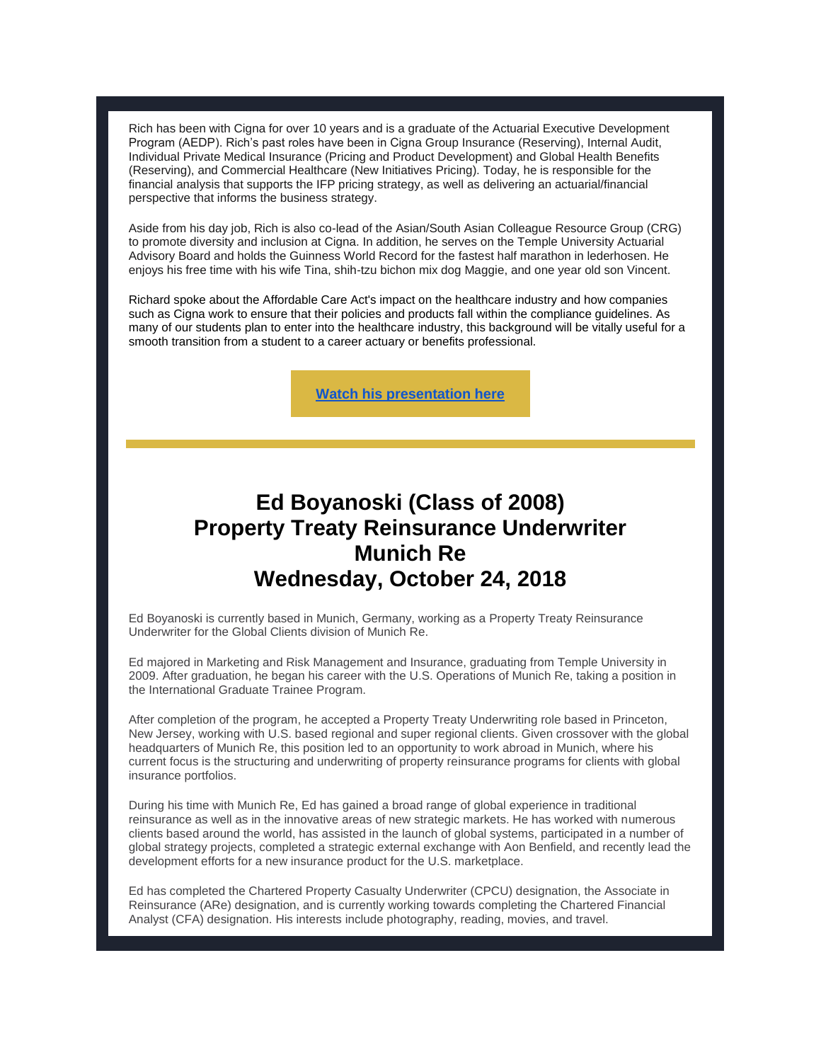Rich has been with Cigna for over 10 years and is a graduate of the Actuarial Executive Development Program (AEDP). Rich's past roles have been in Cigna Group Insurance (Reserving), Internal Audit, Individual Private Medical Insurance (Pricing and Product Development) and Global Health Benefits (Reserving), and Commercial Healthcare (New Initiatives Pricing). Today, he is responsible for the financial analysis that supports the IFP pricing strategy, as well as delivering an actuarial/financial perspective that informs the business strategy.

Aside from his day job, Rich is also co-lead of the Asian/South Asian Colleague Resource Group (CRG) to promote diversity and inclusion at Cigna. In addition, he serves on the Temple University Actuarial Advisory Board and holds the Guinness World Record for the fastest half marathon in lederhosen. He enjoys his free time with his wife Tina, shih-tzu bichon mix dog Maggie, and one year old son Vincent.

Richard spoke about the Affordable Care Act's impact on the healthcare industry and how companies such as Cigna work to ensure that their policies and products fall within the compliance guidelines. As many of our students plan to enter into the healthcare industry, this background will be vitally useful for a smooth transition from a student to a career actuary or benefits professional.

**[Watch his presentation here](https://vimeo.com/295652654)**

# **Ed Boyanoski (Class of 2008) Property Treaty Reinsurance Underwriter Munich Re Wednesday, October 24, 2018**

Ed Boyanoski is currently based in Munich, Germany, working as a Property Treaty Reinsurance Underwriter for the Global Clients division of Munich Re.

Ed majored in Marketing and Risk Management and Insurance, graduating from Temple University in 2009. After graduation, he began his career with the U.S. Operations of Munich Re, taking a position in the International Graduate Trainee Program.

After completion of the program, he accepted a Property Treaty Underwriting role based in Princeton, New Jersey, working with U.S. based regional and super regional clients. Given crossover with the global headquarters of Munich Re, this position led to an opportunity to work abroad in Munich, where his current focus is the structuring and underwriting of property reinsurance programs for clients with global insurance portfolios.

During his time with Munich Re, Ed has gained a broad range of global experience in traditional reinsurance as well as in the innovative areas of new strategic markets. He has worked with numerous clients based around the world, has assisted in the launch of global systems, participated in a number of global strategy projects, completed a strategic external exchange with Aon Benfield, and recently lead the development efforts for a new insurance product for the U.S. marketplace.

Ed has completed the Chartered Property Casualty Underwriter (CPCU) designation, the Associate in Reinsurance (ARe) designation, and is currently working towards completing the Chartered Financial Analyst (CFA) designation. His interests include photography, reading, movies, and travel.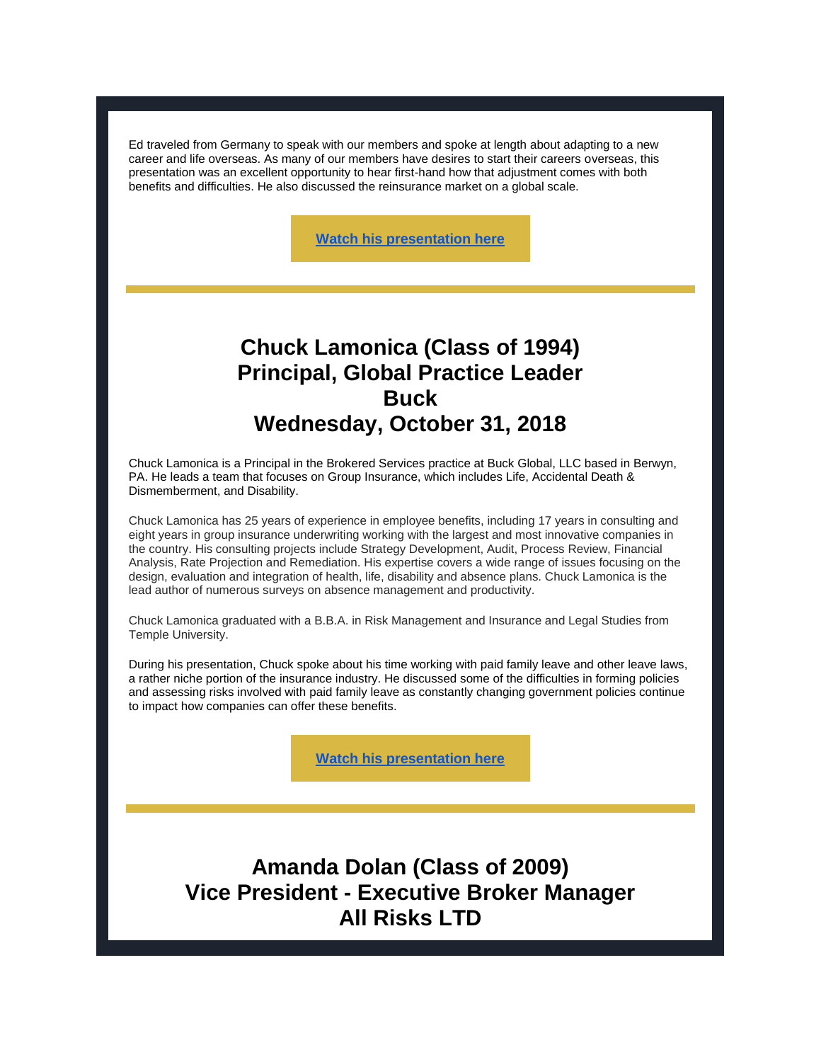Ed traveled from Germany to speak with our members and spoke at length about adapting to a new career and life overseas. As many of our members have desires to start their careers overseas, this presentation was an excellent opportunity to hear first-hand how that adjustment comes with both benefits and difficulties. He also discussed the reinsurance market on a global scale.

**[Watch his presentation here](https://vimeo.com/296941957)**

#### **Chuck Lamonica (Class of 1994) Principal, Global Practice Leader Buck Wednesday, October 31, 2018**

Chuck Lamonica is a Principal in the Brokered Services practice at Buck Global, LLC based in Berwyn, PA. He leads a team that focuses on Group Insurance, which includes Life, Accidental Death & Dismemberment, and Disability.

Chuck Lamonica has 25 years of experience in employee benefits, including 17 years in consulting and eight years in group insurance underwriting working with the largest and most innovative companies in the country. His consulting projects include Strategy Development, Audit, Process Review, Financial Analysis, Rate Projection and Remediation. His expertise covers a wide range of issues focusing on the design, evaluation and integration of health, life, disability and absence plans. Chuck Lamonica is the lead author of numerous surveys on absence management and productivity.

Chuck Lamonica graduated with a B.B.A. in Risk Management and Insurance and Legal Studies from Temple University.

During his presentation, Chuck spoke about his time working with paid family leave and other leave laws, a rather niche portion of the insurance industry. He discussed some of the difficulties in forming policies and assessing risks involved with paid family leave as constantly changing government policies continue to impact how companies can offer these benefits.

**[Watch his presentation here](https://vimeo.com/298246844)**

**Amanda Dolan (Class of 2009) Vice President - Executive Broker Manager All Risks LTD**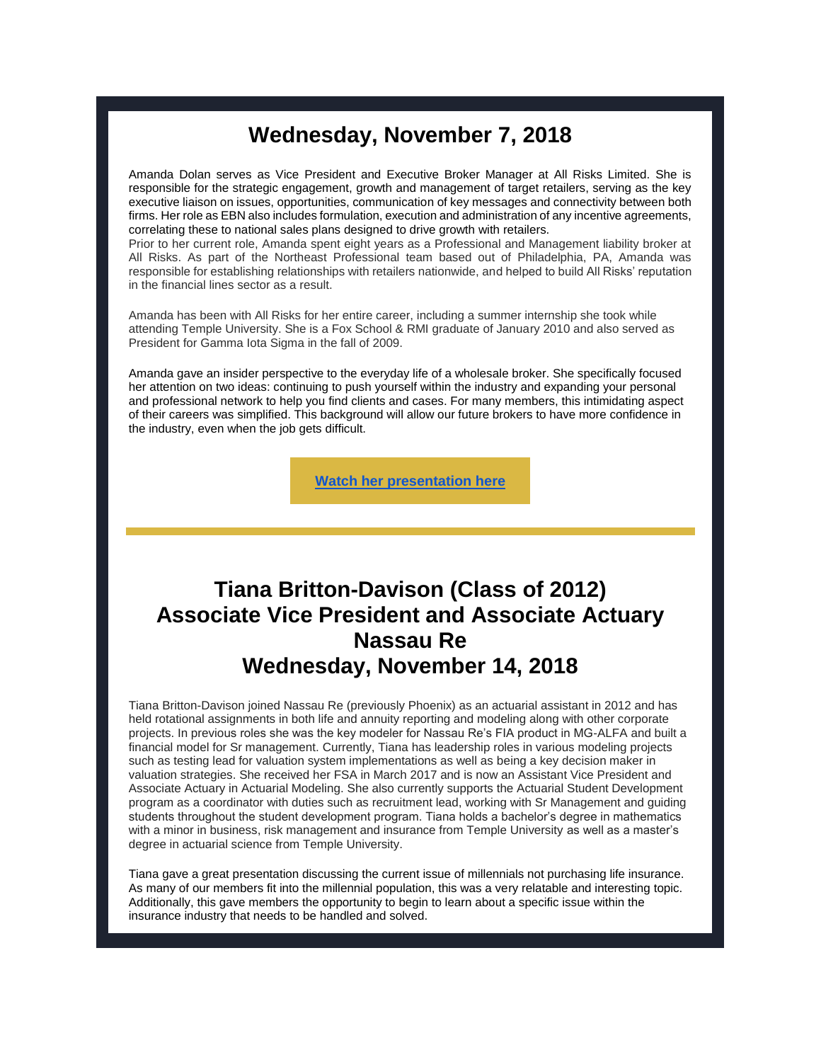#### **Wednesday, November 7, 2018**

Amanda Dolan serves as Vice President and Executive Broker Manager at All Risks Limited. She is responsible for the strategic engagement, growth and management of target retailers, serving as the key executive liaison on issues, opportunities, communication of key messages and connectivity between both firms. Her role as EBN also includes formulation, execution and administration of any incentive agreements, correlating these to national sales plans designed to drive growth with retailers.

Prior to her current role, Amanda spent eight years as a Professional and Management liability broker at All Risks. As part of the Northeast Professional team based out of Philadelphia, PA, Amanda was responsible for establishing relationships with retailers nationwide, and helped to build All Risks' reputation in the financial lines sector as a result.

Amanda has been with All Risks for her entire career, including a summer internship she took while attending Temple University. She is a Fox School & RMI graduate of January 2010 and also served as President for Gamma Iota Sigma in the fall of 2009.

Amanda gave an insider perspective to the everyday life of a wholesale broker. She specifically focused her attention on two ideas: continuing to push yourself within the industry and expanding your personal and professional network to help you find clients and cases. For many members, this intimidating aspect of their careers was simplified. This background will allow our future brokers to have more confidence in the industry, even when the job gets difficult.

**[Watch her presentation here](https://vimeo.com/299507629)**

## **Tiana Britton-Davison (Class of 2012) Associate Vice President and Associate Actuary Nassau Re Wednesday, November 14, 2018**

Tiana Britton-Davison joined Nassau Re (previously Phoenix) as an actuarial assistant in 2012 and has held rotational assignments in both life and annuity reporting and modeling along with other corporate projects. In previous roles she was the key modeler for Nassau Re's FIA product in MG-ALFA and built a financial model for Sr management. Currently, Tiana has leadership roles in various modeling projects such as testing lead for valuation system implementations as well as being a key decision maker in valuation strategies. She received her FSA in March 2017 and is now an Assistant Vice President and Associate Actuary in Actuarial Modeling. She also currently supports the Actuarial Student Development program as a coordinator with duties such as recruitment lead, working with Sr Management and guiding students throughout the student development program. Tiana holds a bachelor's degree in mathematics with a minor in business, risk management and insurance from Temple University as well as a master's degree in actuarial science from Temple University.

Tiana gave a great presentation discussing the current issue of millennials not purchasing life insurance. As many of our members fit into the millennial population, this was a very relatable and interesting topic. Additionally, this gave members the opportunity to begin to learn about a specific issue within the insurance industry that needs to be handled and solved.